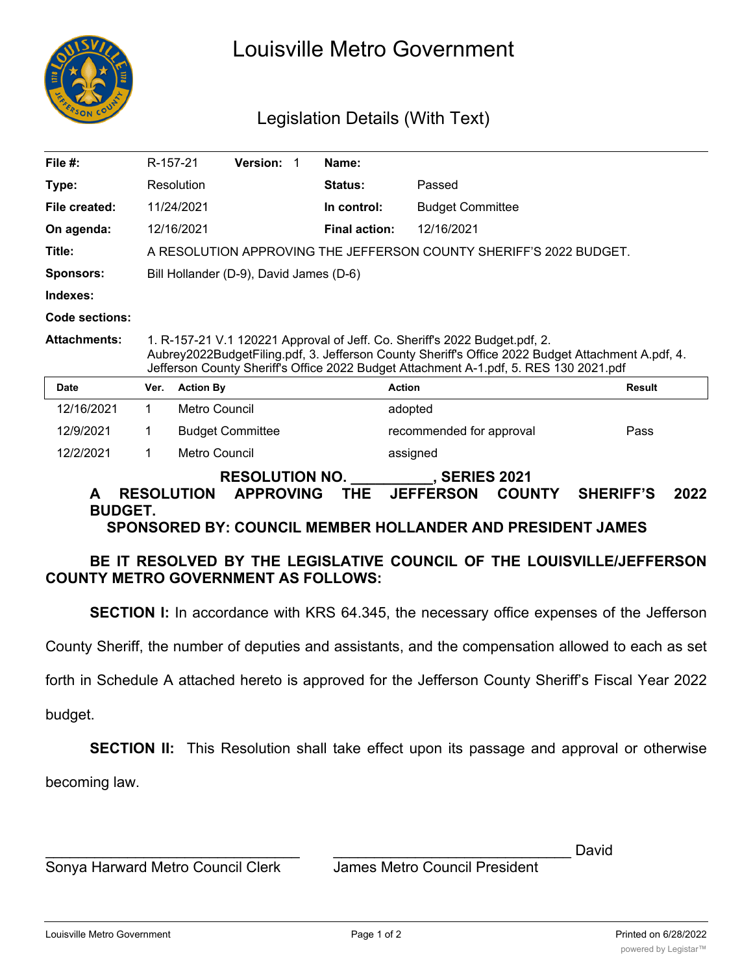

# Louisville Metro Government

## Legislation Details (With Text)

| File $#$ :                                                                                                                                                                                                                                           | R-157-21                                                                                                                                                                                                                                                                 |                         | Version: | 1                        | Name:                |                         |  |        |  |
|------------------------------------------------------------------------------------------------------------------------------------------------------------------------------------------------------------------------------------------------------|--------------------------------------------------------------------------------------------------------------------------------------------------------------------------------------------------------------------------------------------------------------------------|-------------------------|----------|--------------------------|----------------------|-------------------------|--|--------|--|
| Type:                                                                                                                                                                                                                                                |                                                                                                                                                                                                                                                                          | Resolution              |          |                          | <b>Status:</b>       | Passed                  |  |        |  |
| File created:                                                                                                                                                                                                                                        |                                                                                                                                                                                                                                                                          | 11/24/2021              |          |                          | In control:          | <b>Budget Committee</b> |  |        |  |
| On agenda:                                                                                                                                                                                                                                           |                                                                                                                                                                                                                                                                          | 12/16/2021              |          |                          | <b>Final action:</b> | 12/16/2021              |  |        |  |
| Title:                                                                                                                                                                                                                                               | A RESOLUTION APPROVING THE JEFFERSON COUNTY SHERIFF'S 2022 BUDGET.                                                                                                                                                                                                       |                         |          |                          |                      |                         |  |        |  |
| Sponsors:                                                                                                                                                                                                                                            | Bill Hollander (D-9), David James (D-6)                                                                                                                                                                                                                                  |                         |          |                          |                      |                         |  |        |  |
| Indexes:                                                                                                                                                                                                                                             |                                                                                                                                                                                                                                                                          |                         |          |                          |                      |                         |  |        |  |
| Code sections:                                                                                                                                                                                                                                       |                                                                                                                                                                                                                                                                          |                         |          |                          |                      |                         |  |        |  |
| <b>Attachments:</b>                                                                                                                                                                                                                                  | 1. R-157-21 V.1 120221 Approval of Jeff. Co. Sheriff's 2022 Budget.pdf, 2.<br>Aubrey2022BudgetFiling.pdf, 3. Jefferson County Sheriff's Office 2022 Budget Attachment A.pdf, 4.<br>Jefferson County Sheriff's Office 2022 Budget Attachment A-1.pdf, 5. RES 130 2021.pdf |                         |          |                          |                      |                         |  |        |  |
| Date                                                                                                                                                                                                                                                 | Ver.                                                                                                                                                                                                                                                                     | <b>Action By</b>        |          |                          |                      | <b>Action</b>           |  | Result |  |
| 12/16/2021                                                                                                                                                                                                                                           | 1                                                                                                                                                                                                                                                                        | Metro Council           |          |                          |                      | adopted                 |  |        |  |
| 12/9/2021                                                                                                                                                                                                                                            | 1                                                                                                                                                                                                                                                                        | <b>Budget Committee</b> |          | recommended for approval |                      | Pass                    |  |        |  |
| 12/2/2021                                                                                                                                                                                                                                            | 1                                                                                                                                                                                                                                                                        | Metro Council           |          |                          |                      | assigned                |  |        |  |
| <b>RESOLUTION NO.</b><br>, SERIES 2021<br><b>APPROVING</b><br>THE.<br><b>RESOLUTION</b><br><b>JEFFERSON</b><br><b>SHERIFF'S</b><br>2022<br><b>COUNTY</b><br>A<br><b>BUDGET.</b><br><b>SPONSORED BY: COUNCIL MEMBER HOLLANDER AND PRESIDENT JAMES</b> |                                                                                                                                                                                                                                                                          |                         |          |                          |                      |                         |  |        |  |

## **BE IT RESOLVED BY THE LEGISLATIVE COUNCIL OF THE LOUISVILLE/JEFFERSON COUNTY METRO GOVERNMENT AS FOLLOWS:**

**SECTION I:** In accordance with KRS 64.345, the necessary office expenses of the Jefferson

County Sheriff, the number of deputies and assistants, and the compensation allowed to each as set

forth in Schedule A attached hereto is approved for the Jefferson County Sheriff's Fiscal Year 2022

budget.

**SECTION II:** This Resolution shall take effect upon its passage and approval or otherwise

becoming law.

David

\_\_\_\_\_\_\_\_\_\_\_\_\_\_\_\_\_\_\_\_\_\_\_\_\_\_\_\_\_\_\_ Sonya Harward Metro Council Clerk

 $\mathcal{L}_\text{max}$  and  $\mathcal{L}_\text{max}$  and  $\mathcal{L}_\text{max}$  and  $\mathcal{L}_\text{max}$ 

James Metro Council President

 $\mathcal{L}_\text{max}$  and  $\mathcal{L}_\text{max}$  and  $\mathcal{L}_\text{max}$  and  $\mathcal{L}_\text{max}$